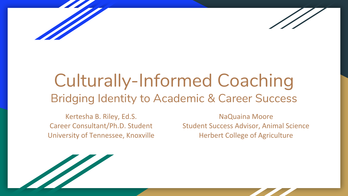



# Culturally-Informed Coaching Bridging Identity to Academic & Career Success

Kertesha B. Riley, Ed.S. Career Consultant/Ph.D. Student University of Tennessee, Knoxville

NaQuaina Moore Student Success Advisor, Animal Science Herbert College of Agriculture

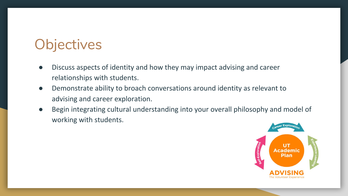# **Objectives**

- Discuss aspects of identity and how they may impact advising and career relationships with students.
- Demonstrate ability to broach conversations around identity as relevant to advising and career exploration.
- Begin integrating cultural understanding into your overall philosophy and model of working with students.

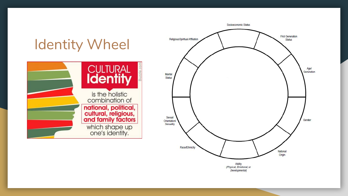

Developmental)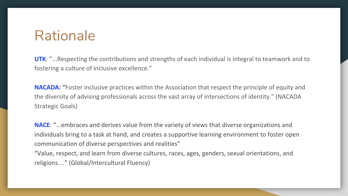#### Rationale

**UTK**: "...Respecting the contributions and strengths of each individual is integral to teamwork and to fostering a culture of inclusive excellence."

**NACADA: "**Foster inclusive practices within the Association that respect the principle of equity and the diversity of advising professionals across the vast array of intersections of identity." (NACADA Strategic Goals)

**NACE**: "...embraces and derives value from the variety of views that diverse organizations and individuals bring to a task at hand, and creates a supportive learning environment to foster open communication of diverse perspectives and realities"

"Value, respect, and learn from diverse cultures, races, ages, genders, sexual orientations, and religions…" (Global/Intercultural Fluency)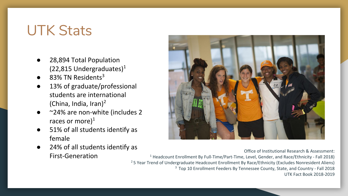# UTK Stats

- 28,894 Total Population  $(22,815$  Undergraduates)<sup>1</sup>
- 83% TN Residents<sup>3</sup>
- 13% of graduate/professional students are international (China, India, Iran)<sup>2</sup>
- $\sim$ 24% are non-white (includes 2 races or more) $<sup>1</sup>$ </sup>
- 51% of all students identify as female
- 24% of all students identify as First-Generation



Office of Institutional Research & Assessment:

<sup>1</sup> Headcount Enrollment By Full-Time/Part-Time, Level, Gender, and Race/Ethnicity - Fall 2018) <sup>2</sup> 5 Year Trend of Undergraduate Headcount Enrollment By Race/Ethnicity (Excludes Nonresident Aliens) 3 Top 10 Enrollment Feeders By Tennessee County, State, and Country - Fall 2018 UTK Fact Book 2018-2019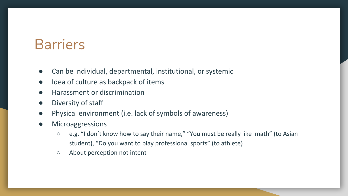## **Barriers**

- Can be individual, departmental, institutional, or systemic
- Idea of culture as backpack of items
- **Harassment or discrimination**
- Diversity of staff
- Physical environment (i.e. lack of symbols of awareness)
- **Microaggressions** 
	- e.g. "I don't know how to say their name," "You must be really like math" (to Asian student), "Do you want to play professional sports" (to athlete)
	- About perception not intent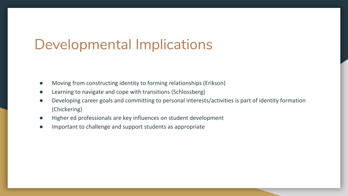#### Developmental Implications

- Moving from constructing identity to forming relationships (Erikson)
- Learning to navigate and cope with transitions (Schlossberg)
- Developing career goals and committing to personal interests/activities is part of identity formation (Chickering)
- Higher ed professionals are key influences on student development
- Important to challenge and support students as appropriate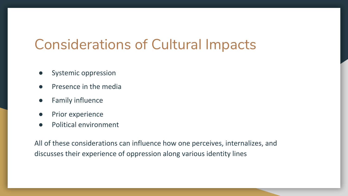## Considerations of Cultural Impacts

- Systemic oppression
- Presence in the media
- **Family influence**
- Prior experience
- Political environment

All of these considerations can influence how one perceives, internalizes, and discusses their experience of oppression along various identity lines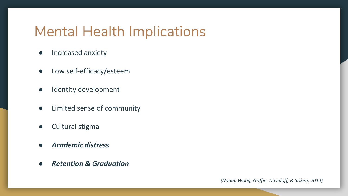### Mental Health Implications

- Increased anxiety
- Low self-efficacy/esteem
- Identity development
- Limited sense of community
- Cultural stigma
- *● Academic distress*
- *● Retention & Graduation*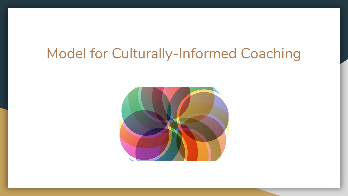#### Model for Culturally-Informed Coaching

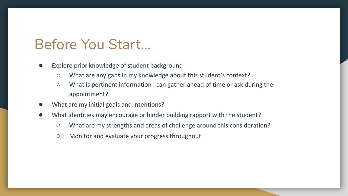#### Before You Start...

- Explore prior knowledge of student background
	- What are any gaps in my knowledge about this student's context?
	- What is pertinent information I can gather ahead of time or ask during the appointment?
- What are my initial goals and intentions?
- What identities may encourage or hinder building rapport with the student?
	- What are my strengths and areas of challenge around this consideration?
	- Monitor and evaluate your progress throughout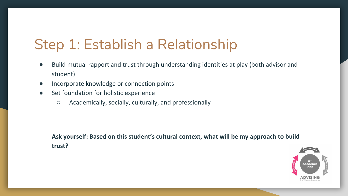# Step 1: Establish a Relationship

- Build mutual rapport and trust through understanding identities at play (both advisor and student)
- Incorporate knowledge or connection points
- Set foundation for holistic experience
	- Academically, socially, culturally, and professionally

**Ask yourself: Based on this student's cultural context, what will be my approach to build trust?**

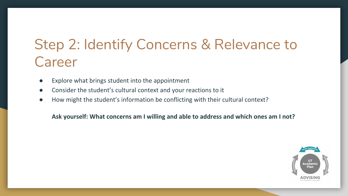# Step 2: Identify Concerns & Relevance to Career

- Explore what brings student into the appointment
- Consider the student's cultural context and your reactions to it
- How might the student's information be conflicting with their cultural context?

**Ask yourself: What concerns am I willing and able to address and which ones am I not?**

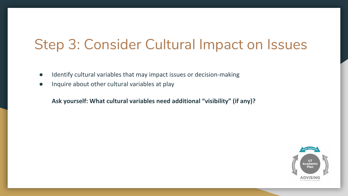### Step 3: Consider Cultural Impact on Issues

- Identify cultural variables that may impact issues or decision-making
- Inquire about other cultural variables at play

**Ask yourself: What cultural variables need additional "visibility" (if any)?**

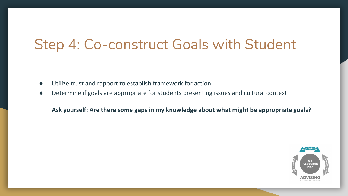### Step 4: Co-construct Goals with Student

- Utilize trust and rapport to establish framework for action
- Determine if goals are appropriate for students presenting issues and cultural context

**Ask yourself: Are there some gaps in my knowledge about what might be appropriate goals?**

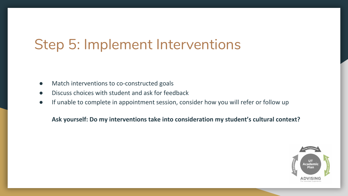## Step 5: Implement Interventions

- Match interventions to co-constructed goals
- Discuss choices with student and ask for feedback
- If unable to complete in appointment session, consider how you will refer or follow up

**Ask yourself: Do my interventions take into consideration my student's cultural context?**

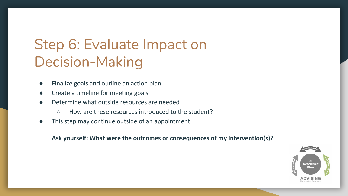# Step 6: Evaluate Impact on Decision-Making

- Finalize goals and outline an action plan
- Create a timeline for meeting goals
- Determine what outside resources are needed
	- How are these resources introduced to the student?
- This step may continue outside of an appointment

**Ask yourself: What were the outcomes or consequences of my intervention(s)?**

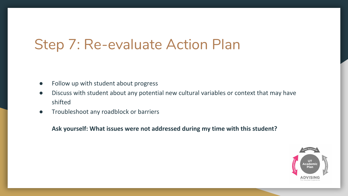### Step 7: Re-evaluate Action Plan

- Follow up with student about progress
- Discuss with student about any potential new cultural variables or context that may have shifted
- Troubleshoot any roadblock or barriers

**Ask yourself: What issues were not addressed during my time with this student?**

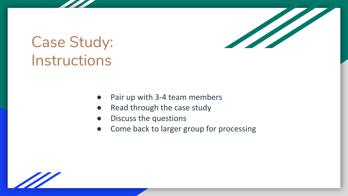

# Case Study: Instructions

- Pair up with 3-4 team members
- Read through the case study
- Discuss the questions
- Come back to larger group for processing

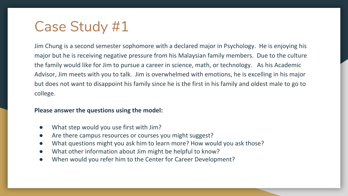# Case Study #1

Jim Chung is a second semester sophomore with a declared major in Psychology. He is enjoying his major but he is receiving negative pressure from his Malaysian family members. Due to the culture the family would like for Jim to pursue a career in science, math, or technology. As his Academic Advisor, Jim meets with you to talk. Jim is overwhelmed with emotions, he is excelling in his major but does not want to disappoint his family since he is the first in his family and oldest male to go to college.

#### **Please answer the questions using the model:**

- What step would you use first with Jim?
- Are there campus resources or courses you might suggest?
- What questions might you ask him to learn more? How would you ask those?
- What other information about Jim might be helpful to know?
- When would you refer him to the Center for Career Development?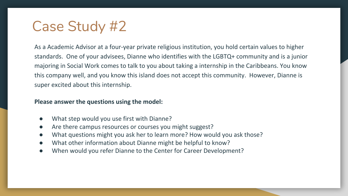# Case Study #2

As a Academic Advisor at a four-year private religious institution, you hold certain values to higher standards. One of your advisees, Dianne who identifies with the LGBTQ+ community and is a junior majoring in Social Work comes to talk to you about taking a internship in the Caribbeans. You know this company well, and you know this island does not accept this community. However, Dianne is super excited about this internship.

#### **Please answer the questions using the model:**

- What step would you use first with Dianne?
- Are there campus resources or courses you might suggest?
- What questions might you ask her to learn more? How would you ask those?
- What other information about Dianne might be helpful to know?
- When would you refer Dianne to the Center for Career Development?